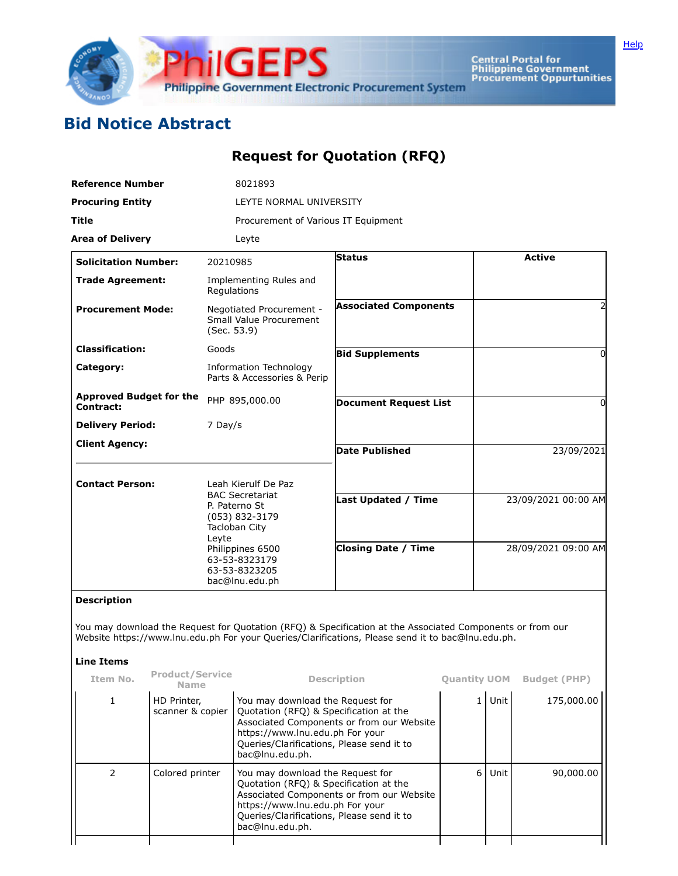

Central Portal for<br>Philippine Government<br>Procurement Oppurtunities

## **Bid Notice Abstract**

## **Request for Quotation (RFQ)**

| <b>Reference Number</b>                     |                                 |                                                                                                                                                                                    | 8021893                                                                                                                                                                                                                    |                                                                                                                                                                                                                |                     |                     |                     |  |  |  |
|---------------------------------------------|---------------------------------|------------------------------------------------------------------------------------------------------------------------------------------------------------------------------------|----------------------------------------------------------------------------------------------------------------------------------------------------------------------------------------------------------------------------|----------------------------------------------------------------------------------------------------------------------------------------------------------------------------------------------------------------|---------------------|---------------------|---------------------|--|--|--|
| <b>Procuring Entity</b>                     |                                 |                                                                                                                                                                                    | LEYTE NORMAL UNIVERSITY                                                                                                                                                                                                    |                                                                                                                                                                                                                |                     |                     |                     |  |  |  |
| <b>Title</b>                                |                                 |                                                                                                                                                                                    | Procurement of Various IT Equipment                                                                                                                                                                                        |                                                                                                                                                                                                                |                     |                     |                     |  |  |  |
| <b>Area of Delivery</b>                     |                                 |                                                                                                                                                                                    | Leyte                                                                                                                                                                                                                      |                                                                                                                                                                                                                |                     |                     |                     |  |  |  |
| <b>Solicitation Number:</b>                 |                                 | 20210985                                                                                                                                                                           |                                                                                                                                                                                                                            | <b>Status</b>                                                                                                                                                                                                  |                     |                     | <b>Active</b>       |  |  |  |
| <b>Trade Agreement:</b>                     |                                 | Implementing Rules and<br>Regulations                                                                                                                                              |                                                                                                                                                                                                                            |                                                                                                                                                                                                                |                     |                     |                     |  |  |  |
| <b>Procurement Mode:</b>                    |                                 | Negotiated Procurement -<br>Small Value Procurement<br>(Sec. 53.9)                                                                                                                 |                                                                                                                                                                                                                            | <b>Associated Components</b>                                                                                                                                                                                   |                     |                     |                     |  |  |  |
| <b>Classification:</b>                      |                                 | Goods                                                                                                                                                                              |                                                                                                                                                                                                                            | <b>Bid Supplements</b>                                                                                                                                                                                         |                     |                     | 0                   |  |  |  |
| Category:                                   |                                 |                                                                                                                                                                                    | <b>Information Technology</b><br>Parts & Accessories & Perip                                                                                                                                                               |                                                                                                                                                                                                                |                     |                     |                     |  |  |  |
| <b>Approved Budget for the</b><br>Contract: |                                 |                                                                                                                                                                                    | PHP 895,000.00                                                                                                                                                                                                             | <b>Document Request List</b>                                                                                                                                                                                   |                     |                     | 0                   |  |  |  |
| <b>Delivery Period:</b>                     |                                 | 7 Day/s                                                                                                                                                                            |                                                                                                                                                                                                                            |                                                                                                                                                                                                                |                     |                     |                     |  |  |  |
| <b>Client Agency:</b>                       |                                 |                                                                                                                                                                                    |                                                                                                                                                                                                                            | <b>Date Published</b>                                                                                                                                                                                          |                     | 23/09/2021          |                     |  |  |  |
|                                             |                                 |                                                                                                                                                                                    |                                                                                                                                                                                                                            |                                                                                                                                                                                                                |                     |                     |                     |  |  |  |
| <b>Contact Person:</b>                      |                                 | Leah Kierulf De Paz<br><b>BAC Secretariat</b><br>P. Paterno St<br>(053) 832-3179<br>Tacloban City<br>Leyte<br>Philippines 6500<br>63-53-8323179<br>63-53-8323205<br>bac@lnu.edu.ph |                                                                                                                                                                                                                            |                                                                                                                                                                                                                |                     |                     |                     |  |  |  |
|                                             |                                 |                                                                                                                                                                                    |                                                                                                                                                                                                                            | <b>Last Updated / Time</b>                                                                                                                                                                                     |                     |                     | 23/09/2021 00:00 AM |  |  |  |
|                                             |                                 |                                                                                                                                                                                    |                                                                                                                                                                                                                            | <b>Closing Date / Time</b>                                                                                                                                                                                     |                     | 28/09/2021 09:00 AM |                     |  |  |  |
| <b>Description</b>                          |                                 |                                                                                                                                                                                    |                                                                                                                                                                                                                            |                                                                                                                                                                                                                |                     |                     |                     |  |  |  |
| <b>Line Items</b>                           |                                 |                                                                                                                                                                                    |                                                                                                                                                                                                                            | You may download the Request for Quotation (RFQ) & Specification at the Associated Components or from our<br>Website https://www.lnu.edu.ph For your Queries/Clarifications, Please send it to bac@lnu.edu.ph. |                     |                     |                     |  |  |  |
| Item No.                                    | Product/Service<br><b>Name</b>  |                                                                                                                                                                                    |                                                                                                                                                                                                                            | <b>Description</b>                                                                                                                                                                                             | <b>Quantity UOM</b> |                     | <b>Budget (PHP)</b> |  |  |  |
| 1                                           | HD Printer,<br>scanner & copier | You may download the Request for<br>Quotation (RFQ) & Specification at the<br>https://www.lnu.edu.ph For your<br>Queries/Clarifications, Please send it to<br>bac@lnu.edu.ph.      |                                                                                                                                                                                                                            | Associated Components or from our Website                                                                                                                                                                      | $1\vert$            | Unit                | 175,000.00          |  |  |  |
| $\overline{2}$                              | Colored printer                 |                                                                                                                                                                                    | You may download the Request for<br>Quotation (RFQ) & Specification at the<br>Associated Components or from our Website<br>https://www.lnu.edu.ph For your<br>Queries/Clarifications, Please send it to<br>bac@lnu.edu.ph. |                                                                                                                                                                                                                | 6 <sup>1</sup>      | Unit                | 90,000.00           |  |  |  |
|                                             |                                 |                                                                                                                                                                                    |                                                                                                                                                                                                                            |                                                                                                                                                                                                                |                     |                     |                     |  |  |  |